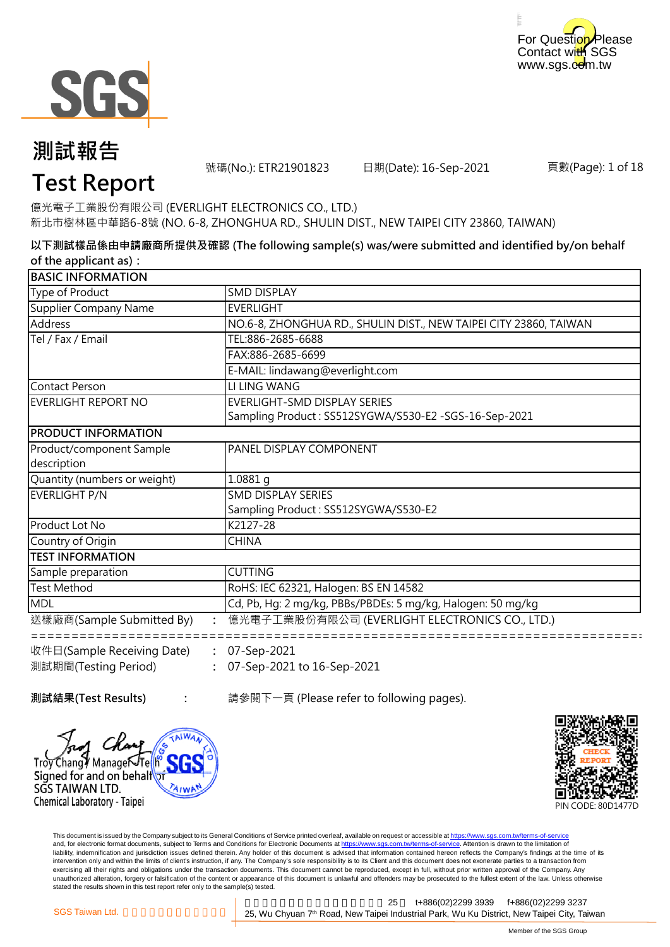



號碼(No.): ETR21901823 日期(Date): 16-Sep-2021

頁數(Page): 1 of 18

# **Test Report**

億光電子工業股份有限公司 (EVERLIGHT ELECTRONICS CO., LTD.) 新北市樹林區中華路6-8號 (NO. 6-8, ZHONGHUA RD., SHULIN DIST., NEW TAIPEI CITY 23860, TAIWAN)

**以下測試樣品係由申請廠商所提供及確認 (The following sample(s) was/were submitted and identified by/on behalf of the applicant as):**

| <b>BASIC INFORMATION</b>     |                                                                   |
|------------------------------|-------------------------------------------------------------------|
| Type of Product              | <b>SMD DISPLAY</b>                                                |
| Supplier Company Name        | <b>EVERLIGHT</b>                                                  |
| Address                      | NO.6-8, ZHONGHUA RD., SHULIN DIST., NEW TAIPEI CITY 23860, TAIWAN |
| Tel / Fax / Email            | TEL:886-2685-6688                                                 |
|                              | FAX:886-2685-6699                                                 |
|                              | E-MAIL: lindawang@everlight.com                                   |
| Contact Person               | LI LING WANG                                                      |
| EVERLIGHT REPORT NO          | EVERLIGHT-SMD DISPLAY SERIES                                      |
|                              | Sampling Product: SS512SYGWA/S530-E2 -SGS-16-Sep-2021             |
| <b>PRODUCT INFORMATION</b>   |                                                                   |
| Product/component Sample     | PANEL DISPLAY COMPONENT                                           |
| description                  |                                                                   |
| Quantity (numbers or weight) | $1.0881$ g                                                        |
| EVERLIGHT P/N                | <b>SMD DISPLAY SERIES</b>                                         |
|                              | Sampling Product: SS512SYGWA/S530-E2                              |
| Product Lot No               | K2127-28                                                          |
| Country of Origin            | <b>CHINA</b>                                                      |
| <b>ITEST INFORMATION</b>     |                                                                   |
| Sample preparation           | <b>CUTTING</b>                                                    |
| <b>Test Method</b>           | RoHS: IEC 62321, Halogen: BS EN 14582                             |
| MDL                          | Cd, Pb, Hg: 2 mg/kg, PBBs/PBDEs: 5 mg/kg, Halogen: 50 mg/kg       |
| 送樣廠商(Sample Submitted By)    | 億光電子工業股份有限公司 (EVERLIGHT ELECTRONICS CO., LTD.)                    |
|                              |                                                                   |
| 收件日(Sample Receiving Date)   | 07-Sep-2021                                                       |
| 測試期間(Testing Period)         | 07-Sep-2021 to 16-Sep-2021                                        |

Troy Changy Managet Te Signed for and on behalf

Chemical Laboratory - Taipei

AIWI

SGS TAIWAN LTD.

**測試結果(Test Results) :** 請參閱下一頁 (Please refer to following pages).



This document is issued by the Company subject to its General Conditions of Service printed overleaf, available on request or accessible at https://www.sgs.com.tw/terms-of-service and, for electronic format documents, subject to Terms and Conditions for Electronic Documents at https://www.sgs.com.tw/terms-of-service. Attention is drawn to the limitation of liability, indemnification and jurisdiction issues defined therein. Any holder of this document is advised that information contained hereon reflects the Company's findings at the time of its intervention only and within the limits of client's instruction, if any. The Company's sole responsibility is to its Client and this document does not exonerate parties to a transaction from exercising all their rights and obligations under the transaction documents. This document cannot be reproduced, except in full, without prior written approval of the Company. Any<br>unauthorized alteration, forgery or falsif stated the results shown in this test report refer only to the sample(s) tested.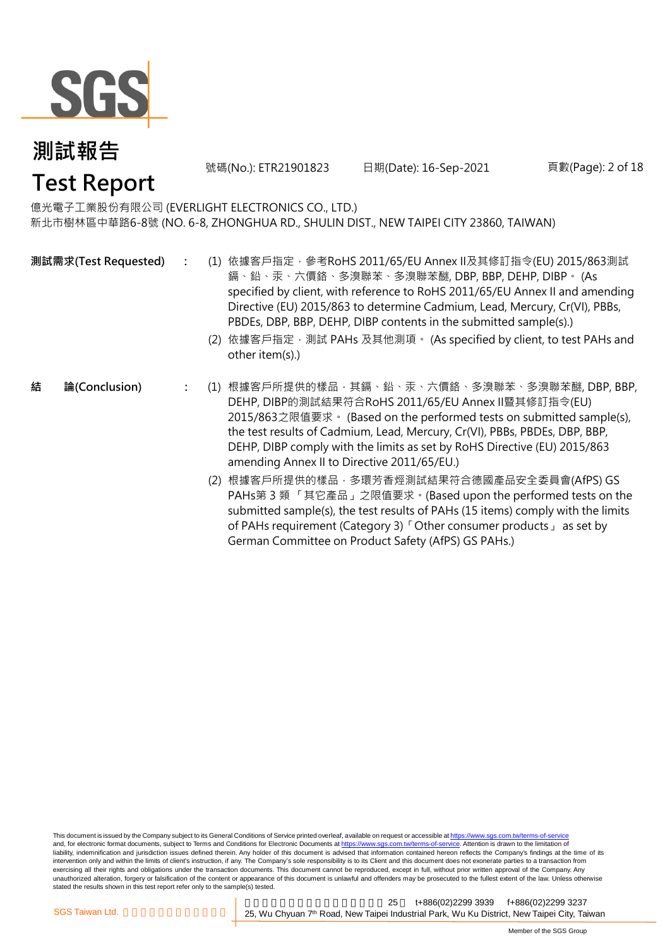

號碼(No.): ETR21901823 日期(Date): 16-Sep-2021 頁數(Page): 2 of 18

# **Test Report**

億光電子工業股份有限公司 (EVERLIGHT ELECTRONICS CO., LTD.) 新北市樹林區中華路6-8號 (NO. 6-8, ZHONGHUA RD., SHULIN DIST., NEW TAIPEI CITY 23860, TAIWAN)

- **:** (1) 依據客戶指定,參考RoHS 2011/65/EU Annex II及其修訂指令(EU) 2015/863測試 鎘、鉛、汞、六價鉻、多溴聯苯、多溴聯苯醚, DBP, BBP, DEHP, DIBP。 (As specified by client, with reference to RoHS 2011/65/EU Annex II and amending Directive (EU) 2015/863 to determine Cadmium, Lead, Mercury, Cr(VI), PBBs, PBDEs, DBP, BBP, DEHP, DIBP contents in the submitted sample(s).) **測試需求(Test Requested)**
	- (2) 依據客戶指定,測試 PAHs 及其他測項。 (As specified by client, to test PAHs and other item(s).)
- **結 論(Conclusion)**
- **:** (1) 根據客戶所提供的樣品,其鎘、鉛、汞、六價鉻、多溴聯苯、多溴聯苯醚, DBP, BBP, DEHP, DIBP的測試結果符合RoHS 2011/65/EU Annex II暨其修訂指令(EU) 2015/863之限值要求。 (Based on the performed tests on submitted sample(s), the test results of Cadmium, Lead, Mercury, Cr(VI), PBBs, PBDEs, DBP, BBP, DEHP, DIBP comply with the limits as set by RoHS Directive (EU) 2015/863 amending Annex II to Directive 2011/65/EU.)
	- (2) 根據客戶所提供的樣品,多環芳香烴測試結果符合德國產品安全委員會(AfPS) GS PAHs第 3 類 「其它產品」之限值要求。(Based upon the performed tests on the submitted sample(s), the test results of PAHs (15 items) comply with the limits of PAHs requirement (Category 3)「Other consumer products」 as set by German Committee on Product Safety (AfPS) GS PAHs.)

This document is issued by the Company subject to its General Conditions of Service printed overleaf, available on request or accessible at https://www.sgs.com.tw/terms-of-service and, for electronic format documents, subject to Terms and Conditions for Electronic Documents at https://www.sgs.com.tw/terms-of-service. Attention is drawn to the limitation of liability, indemnification and jurisdiction issues defined therein. Any holder of this document is advised that information contained hereon reflects the Company's findings at the time of its intervention only and within the limits of client's instruction, if any. The Company's sole responsibility is to its Client and this document does not exonerate parties to a transaction from exercising all their rights and obligations under the transaction documents. This document cannot be reproduced, except in full, without prior written approval of the Company. Any unauthorized alteration, forgery or falsification of the content or appearance of this document is unlawful and offenders may be prosecuted to the fullest extent of the law. Unless otherwise stated the results shown in this test report refer only to the sample(s) tested.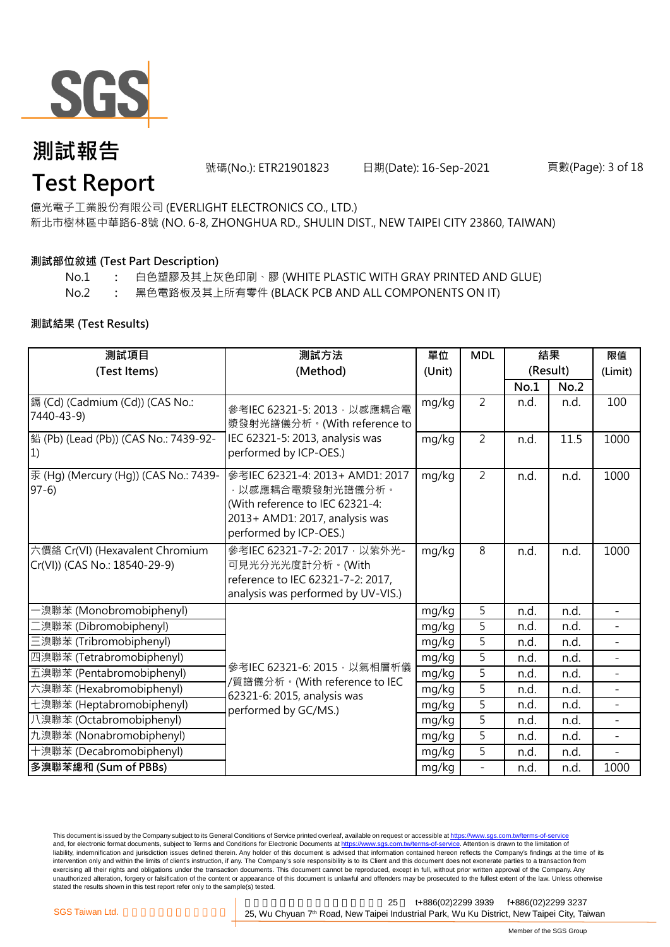

號碼(No.): ETR21901823 日期(Date): 16-Sep-2021 頁數(Page): 3 of 18

# **Test Report**

億光電子工業股份有限公司 (EVERLIGHT ELECTRONICS CO., LTD.) 新北市樹林區中華路6-8號 (NO. 6-8, ZHONGHUA RD., SHULIN DIST., NEW TAIPEI CITY 23860, TAIWAN)

### **測試部位敘述 (Test Part Description)**

- No.1 **:** 白色塑膠及其上灰色印刷、膠 (WHITE PLASTIC WITH GRAY PRINTED AND GLUE)
- No.2 **:** 黑色電路板及其上所有零件 (BLACK PCB AND ALL COMPONENTS ON IT)

### **測試結果 (Test Results)**

| 測試項目                                                             | 測試方法                                                                                                                                               | 單位     | <b>MDL</b>               | 結果<br>(Result) |      | 限值<br>(Limit)  |
|------------------------------------------------------------------|----------------------------------------------------------------------------------------------------------------------------------------------------|--------|--------------------------|----------------|------|----------------|
| (Test Items)                                                     | (Method)                                                                                                                                           | (Unit) |                          |                |      |                |
|                                                                  |                                                                                                                                                    |        |                          | No.1           | No.2 |                |
| 鎘 (Cd) (Cadmium (Cd)) (CAS No.:<br>7440-43-9)                    | 參考IEC 62321-5: 2013, 以感應耦合電<br>漿發射光譜儀分析。(With reference to                                                                                         | mg/kg  | $\overline{2}$           | n.d.           | n.d. | 100            |
| 鉛 (Pb) (Lead (Pb)) (CAS No.: 7439-92-<br>1)                      | IEC 62321-5: 2013, analysis was<br>performed by ICP-OES.)                                                                                          | mg/kg  | $\overline{2}$           | n.d.           | 11.5 | 1000           |
| 汞 (Hg) (Mercury (Hg)) (CAS No.: 7439-<br>$97-6$                  | 參考IEC 62321-4: 2013+ AMD1: 2017<br>·以感應耦合電漿發射光譜儀分析。<br>(With reference to IEC 62321-4:<br>2013+ AMD1: 2017, analysis was<br>performed by ICP-OES.) | mg/kg  | $\overline{2}$           | n.d.           | n.d. | 1000           |
| 六價鉻 Cr(VI) (Hexavalent Chromium<br>Cr(VI)) (CAS No.: 18540-29-9) | 參考IEC 62321-7-2: 2017, 以紫外光-<br>可見光分光光度計分析。(With<br>reference to IEC 62321-7-2: 2017,<br>analysis was performed by UV-VIS.)                        | mg/kg  | 8                        | n.d.           | n.d. | 1000           |
| ·溴聯苯 (Monobromobiphenyl)                                         |                                                                                                                                                    | mg/kg  | 5                        | n.d.           | n.d. |                |
| 澳聯苯 (Dibromobiphenyl)                                            |                                                                                                                                                    | mg/kg  | 5                        | n.d.           | n.d. |                |
| 三溴聯苯 (Tribromobiphenyl)                                          |                                                                                                                                                    | mg/kg  | 5                        | n.d.           | n.d. |                |
| 四溴聯苯 (Tetrabromobiphenyl)                                        |                                                                                                                                                    | mg/kg  | 5                        | n.d.           | n.d. | $\blacksquare$ |
| 五溴聯苯 (Pentabromobiphenyl)                                        | 參考IEC 62321-6: 2015, 以氣相層析儀                                                                                                                        | mg/kg  | $\overline{5}$           | n.d.           | n.d. |                |
| 六溴聯苯 (Hexabromobiphenyl)                                         | /質譜儀分析。(With reference to IEC<br>62321-6: 2015, analysis was                                                                                       | mg/kg  | $\overline{5}$           | n.d.           | n.d. |                |
| 七溴聯苯 (Heptabromobiphenyl)                                        | performed by GC/MS.)                                                                                                                               | mg/kg  | 5                        | n.d.           | n.d. | $\equiv$       |
| 八溴聯苯 (Octabromobiphenyl)                                         |                                                                                                                                                    | mg/kg  | 5                        | n.d.           | n.d. | $\overline{a}$ |
| 九溴聯苯 (Nonabromobiphenyl)                                         |                                                                                                                                                    | mg/kg  | 5                        | n.d.           | n.d. |                |
| 十溴聯苯 (Decabromobiphenyl)                                         |                                                                                                                                                    | mg/kg  | 5                        | n.d.           | n.d. |                |
| 多溴聯苯總和 (Sum of PBBs)                                             |                                                                                                                                                    | mg/kg  | $\overline{\phantom{m}}$ | n.d.           | n.d. | 1000           |

This document is issued by the Company subject to its General Conditions of Service printed overleaf, available on request or accessible at https://www.sgs.com.tw/terms-of-service and, for electronic format documents, subject to Terms and Conditions for Electronic Documents at https://www.sgs.com.tw/terms-of-service. Attention is drawn to the limitation of liability, indemnification and jurisdiction issues defined therein. Any holder of this document is advised that information contained hereon reflects the Company's findings at the time of its intervention only and within the limits of client's instruction, if any. The Company's sole responsibility is to its Client and this document does not exonerate parties to a transaction from exercising all their rights and obligations under the transaction documents. This document cannot be reproduced, except in full, without prior written approval of the Company. Any<br>unauthorized alteration, forgery or falsif stated the results shown in this test report refer only to the sample(s) tested.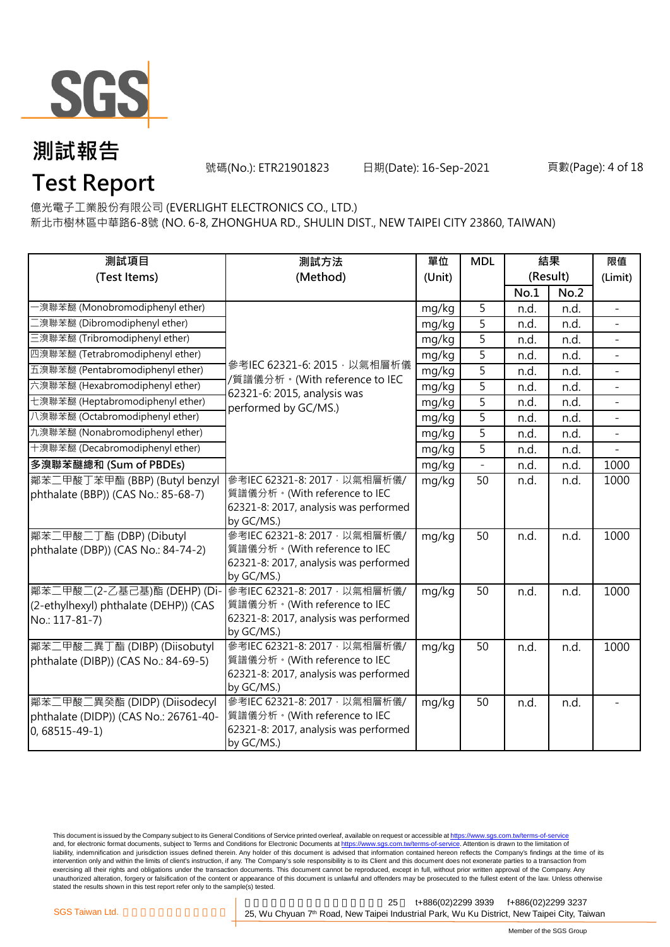

號碼(No.): ETR21901823 日期(Date): 16-Sep-2021 頁數(Page): 4 of 18

# **Test Report**

億光電子工業股份有限公司 (EVERLIGHT ELECTRONICS CO., LTD.) 新北市樹林區中華路6-8號 (NO. 6-8, ZHONGHUA RD., SHULIN DIST., NEW TAIPEI CITY 23860, TAIWAN)

| 測試項目                                                                                         | 測試方法                                                                                                                 | 單位     | <b>MDL</b>               |          | 結果   | 限值                       |
|----------------------------------------------------------------------------------------------|----------------------------------------------------------------------------------------------------------------------|--------|--------------------------|----------|------|--------------------------|
| (Test Items)                                                                                 | (Method)                                                                                                             | (Unit) |                          | (Result) |      | (Limit)                  |
|                                                                                              |                                                                                                                      |        |                          | No.1     | No.2 |                          |
| ·溴聯苯醚 (Monobromodiphenyl ether)                                                              |                                                                                                                      | mg/kg  | 5                        | n.d.     | n.d. |                          |
| 漢聯苯醚 (Dibromodiphenyl ether)                                                                 |                                                                                                                      | mg/kg  | 5                        | n.d.     | n.d. |                          |
| 三溴聯苯醚 (Tribromodiphenyl ether)                                                               |                                                                                                                      | mg/kg  | 5                        | n.d.     | n.d. |                          |
| 四溴聯苯醚 (Tetrabromodiphenyl ether)                                                             |                                                                                                                      | mg/kg  | 5                        | n.d.     | n.d. |                          |
| 五溴聯苯醚 (Pentabromodiphenyl ether)                                                             | 參考IEC 62321-6: 2015, 以氣相層析儀<br>/質譜儀分析。(With reference to IEC<br>62321-6: 2015, analysis was<br>performed by GC/MS.)  | mg/kg  | $\overline{5}$           | n.d.     | n.d. | $\overline{\phantom{0}}$ |
| 六溴聯苯醚 (Hexabromodiphenyl ether)                                                              |                                                                                                                      | mg/kg  | 5                        | n.d.     | n.d. |                          |
| 七溴聯苯醚 (Heptabromodiphenyl ether)                                                             |                                                                                                                      | mg/kg  | $\overline{5}$           | n.d.     | n.d. |                          |
| 八溴聯苯醚 (Octabromodiphenyl ether)                                                              |                                                                                                                      | mg/kg  | $\overline{5}$           | n.d.     | n.d. |                          |
| 九溴聯苯醚 (Nonabromodiphenyl ether)                                                              |                                                                                                                      | mg/kg  | 5                        | n.d.     | n.d. |                          |
| 十溴聯苯醚 (Decabromodiphenyl ether)                                                              |                                                                                                                      | mg/kg  | 5                        | n.d.     | n.d. |                          |
| 多溴聯苯醚總和 (Sum of PBDEs)                                                                       |                                                                                                                      | mg/kg  | $\overline{\phantom{a}}$ | n.d.     | n.d. | 1000                     |
| 鄰苯二甲酸丁苯甲酯 (BBP) (Butyl benzyl<br>phthalate (BBP)) (CAS No.: 85-68-7)                         | 參考IEC 62321-8: 2017, 以氣相層析儀/<br>質譜儀分析。(With reference to IEC<br>62321-8: 2017, analysis was performed<br>by GC/MS.)  | mg/kg  | 50                       | n.d.     | n.d. | 1000                     |
| 鄰苯二甲酸二丁酯 (DBP) (Dibutyl<br>phthalate (DBP)) (CAS No.: 84-74-2)                               | 參考IEC 62321-8: 2017, 以氣相層析儀/<br>質譜儀分析。(With reference to IEC<br>62321-8: 2017, analysis was performed<br>by GC/MS.)  | mg/kg  | 50                       | n.d.     | n.d. | 1000                     |
| 鄰苯二甲酸二(2-乙基己基)酯 (DEHP) (Di-<br>(2-ethylhexyl) phthalate (DEHP)) (CAS<br>No.: 117-81-7)       | 參考IEC 62321-8: 2017, 以氣相層析儀/<br>質譜儀分析。(With reference to IEC<br>62321-8: 2017, analysis was performed<br>by GC/MS.)  | mg/kg  | 50                       | n.d.     | n.d. | 1000                     |
| 鄰苯二甲酸二異丁酯 (DIBP) (Diisobutyl<br>phthalate (DIBP)) (CAS No.: 84-69-5)                         | 參考IEC 62321-8: 2017 · 以氣相層析儀/<br>質譜儀分析。(With reference to IEC<br>62321-8: 2017, analysis was performed<br>by GC/MS.) | mg/kg  | 50                       | n.d.     | n.d. | 1000                     |
| 鄰苯二甲酸二異癸酯 (DIDP) (Diisodecyl<br>phthalate (DIDP)) (CAS No.: 26761-40-<br>$0,68515 - 49 - 1)$ | 參考IEC 62321-8: 2017, 以氣相層析儀/<br>質譜儀分析。(With reference to IEC<br>62321-8: 2017, analysis was performed<br>by GC/MS.)  | mg/kg  | 50                       | n.d.     | n.d. |                          |

This document is issued by the Company subject to its General Conditions of Service printed overleaf, available on request or accessible at <u>https://www.sgs.com.tw/terms-of-service</u><br>and, for electronic format documents, su liability, indemnification and jurisdiction issues defined therein. Any holder of this document is advised that information contained hereon reflects the Company's findings at the time of its intervention only and within the limits of client's instruction, if any. The Company's sole responsibility is to its Client and this document does not exonerate parties to a transaction from exercising all their rights and obligations under the transaction documents. This document cannot be reproduced, except in full, without prior written approval of the Company. Any<br>unauthorized alteration, forgery or falsif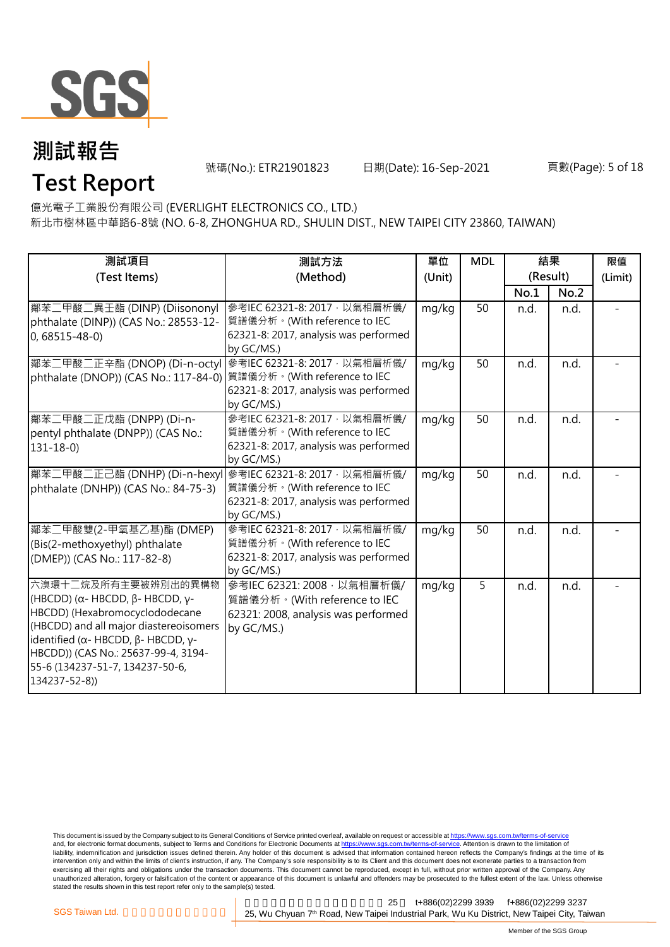

號碼(No.): ETR21901823 日期(Date): 16-Sep-2021 頁數(Page): 5 of 18

## **Test Report**

億光電子工業股份有限公司 (EVERLIGHT ELECTRONICS CO., LTD.) 新北市樹林區中華路6-8號 (NO. 6-8, ZHONGHUA RD., SHULIN DIST., NEW TAIPEI CITY 23860, TAIWAN)

| 測試項目<br>(Test Items)                                                                                                                                                                                                                                                                                        | 測試方法<br>(Method)                                                                                                     | 單位<br>(Unit) | <b>MDL</b> | 結果<br>(Result) |      | 限值<br>(Limit) |
|-------------------------------------------------------------------------------------------------------------------------------------------------------------------------------------------------------------------------------------------------------------------------------------------------------------|----------------------------------------------------------------------------------------------------------------------|--------------|------------|----------------|------|---------------|
|                                                                                                                                                                                                                                                                                                             |                                                                                                                      |              |            | No.1           | No.2 |               |
| 鄰苯二甲酸二異壬酯 (DINP) (Diisononyl<br>phthalate (DINP)) (CAS No.: 28553-12-<br>$0,68515 - 48 - 0$                                                                                                                                                                                                                 | 參考IEC 62321-8: 2017, 以氣相層析儀/<br>質譜儀分析。(With reference to IEC<br>62321-8: 2017, analysis was performed<br>by GC/MS.)  | mg/kg        | 50         | n.d.           | n.d. |               |
| 鄰苯二甲酸二正辛酯 (DNOP) (Di-n-octyl<br>phthalate (DNOP)) (CAS No.: 117-84-0)   質譜儀分析。(With reference to IEC                                                                                                                                                                                                        | 參考IEC 62321-8: 2017 · 以氣相層析儀/<br>62321-8: 2017, analysis was performed<br>by GC/MS.)                                 | mg/kg        | 50         | n.d.           | n.d. |               |
| 鄰苯二甲酸二正戊酯 (DNPP) (Di-n-<br>pentyl phthalate (DNPP)) (CAS No.:<br>$131 - 18 - 0$                                                                                                                                                                                                                             | 參考IEC 62321-8: 2017, 以氣相層析儀/<br>質譜儀分析。(With reference to IEC<br>62321-8: 2017, analysis was performed<br>by GC/MS.)  | mg/kg        | 50         | n.d.           | n.d. |               |
| 鄰苯二甲酸二正己酯 (DNHP) (Di-n-hexyl 參考IEC 62321-8: 2017 · 以氣相層析儀/<br>phthalate (DNHP)) (CAS No.: 84-75-3)                                                                                                                                                                                                          | 質譜儀分析。(With reference to IEC<br>62321-8: 2017, analysis was performed<br>by GC/MS.)                                  | mg/kg        | 50         | n.d.           | n.d. |               |
| 鄰苯二甲酸雙(2-甲氧基乙基)酯 (DMEP)<br>(Bis(2-methoxyethyl) phthalate<br>(DMEP)) (CAS No.: 117-82-8)                                                                                                                                                                                                                    | 參考IEC 62321-8: 2017 · 以氣相層析儀/<br>質譜儀分析。(With reference to IEC<br>62321-8: 2017, analysis was performed<br>by GC/MS.) | mg/kg        | 50         | n.d.           | n.d. |               |
| 六溴環十二烷及所有主要被辨別出的異構物<br>(HBCDD) ( $\alpha$ - HBCDD, $\beta$ - HBCDD, γ-<br>HBCDD) (Hexabromocyclododecane<br>(HBCDD) and all major diastereoisomers<br>identified ( $\alpha$ - HBCDD, $\beta$ - HBCDD, $\gamma$ -<br>HBCDD)) (CAS No.: 25637-99-4, 3194-<br>55-6 (134237-51-7, 134237-50-6,<br>134237-52-8)) | 參考IEC 62321: 2008, 以氣相層析儀/<br>質譜儀分析。(With reference to IEC<br>62321: 2008, analysis was performed<br>by GC/MS.)      | mg/kg        | 5          | n.d.           | n.d. |               |

This document is issued by the Company subject to its General Conditions of Service printed overleaf, available on request or accessible at <u>https://www.sgs.com.tw/terms-of-service</u><br>and, for electronic format documents, su liability, indemnification and jurisdiction issues defined therein. Any holder of this document is advised that information contained hereon reflects the Company's findings at the time of its intervention only and within the limits of client's instruction, if any. The Company's sole responsibility is to its Client and this document does not exonerate parties to a transaction from exercising all their rights and obligations under the transaction documents. This document cannot be reproduced, except in full, without prior written approval of the Company. Any<br>unauthorized alteration, forgery or falsif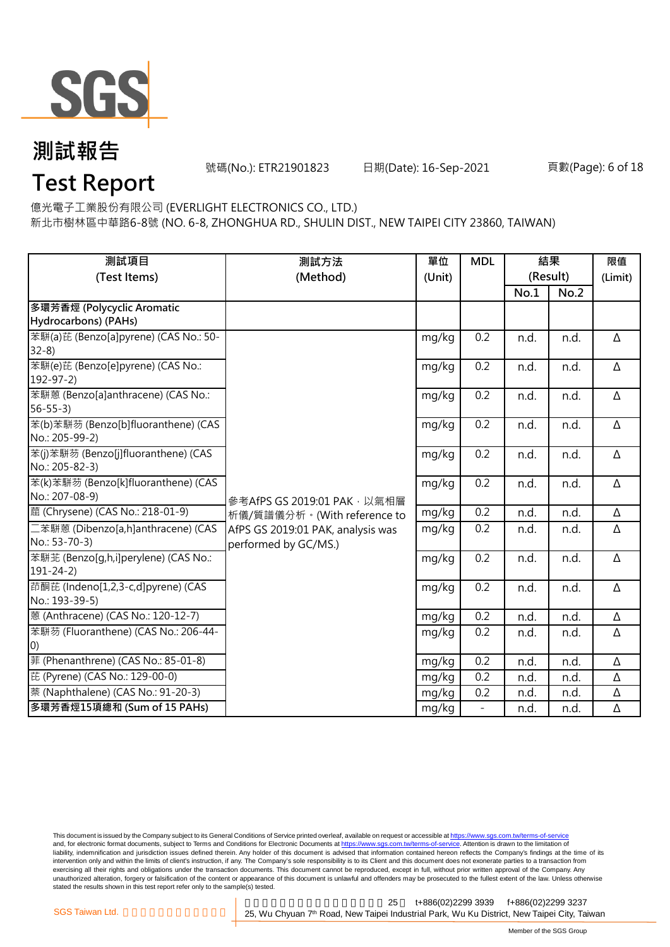

號碼(No.): ETR21901823 日期(Date): 16-Sep-2021 頁數(Page): 6 of 18

# **Test Report**

億光電子工業股份有限公司 (EVERLIGHT ELECTRONICS CO., LTD.)

新北市樹林區中華路6-8號 (NO. 6-8, ZHONGHUA RD., SHULIN DIST., NEW TAIPEI CITY 23860, TAIWAN)

| 測試項目<br>(Test Items)                                    | 測試方法<br>(Method)                                          | 單位<br>(Unit) | <b>MDL</b> | 結果<br>(Result) |      | 限值<br>(Limit) |
|---------------------------------------------------------|-----------------------------------------------------------|--------------|------------|----------------|------|---------------|
|                                                         |                                                           |              |            | No.1           | No.2 |               |
| 多環芳香烴 (Polycyclic Aromatic<br>Hydrocarbons) (PAHs)      |                                                           |              |            |                |      |               |
| 苯駢(a)芘 (Benzo[a]pyrene) (CAS No.: 50-<br>$32-8$         |                                                           | mg/kg        | 0.2        | n.d.           | n.d. | Δ             |
| 苯駢(e)芘 (Benzo[e]pyrene) (CAS No.:<br>$192 - 97 - 2$     |                                                           | mg/kg        | 0.2        | n.d.           | n.d. | $\Delta$      |
| 苯駢蒽 (Benzo[a]anthracene) (CAS No.:<br>$56 - 55 - 3$     |                                                           | mg/kg        | 0.2        | n.d.           | n.d. | Δ             |
| 苯(b)苯駢芴 (Benzo[b]fluoranthene) (CAS<br>No.: 205-99-2)   |                                                           | mg/kg        | 0.2        | n.d.           | n.d. | $\Delta$      |
| 苯(j)苯駢芴 (Benzo[j]fluoranthene) (CAS<br>No.: 205-82-3)   |                                                           | mg/kg        | 0.2        | n.d.           | n.d. | $\Delta$      |
| 苯(k)苯駢芴 (Benzo[k]fluoranthene) (CAS<br>No.: 207-08-9)   | 參考AfPS GS 2019:01 PAK, 以氣相層                               | mg/kg        | 0.2        | n.d.           | n.d. | $\Delta$      |
| 蔰 (Chrysene) (CAS No.: 218-01-9)                        | 析儀/質譜儀分析。(With reference to                               | mg/kg        | 0.2        | n.d.           | n.d. | Δ             |
| 二苯駢蒽 (Dibenzo[a,h]anthracene) (CAS<br>No.: 53-70-3)     | AfPS GS 2019:01 PAK, analysis was<br>performed by GC/MS.) | mg/kg        | 0.2        | n.d.           | n.d. | Δ             |
| 苯駢苝 (Benzo[g,h,i]perylene) (CAS No.:<br>$191 - 24 - 2)$ |                                                           | mg/kg        | 0.2        | n.d.           | n.d. | $\Delta$      |
| 茚酮芘 (Indeno[1,2,3-c,d]pyrene) (CAS<br>No.: 193-39-5)    |                                                           | mg/kg        | 0.2        | n.d.           | n.d. | Δ             |
| 蒽 (Anthracene) (CAS No.: 120-12-7)                      |                                                           | mg/kg        | 0.2        | n.d.           | n.d. | Δ             |
| 苯駢芴 (Fluoranthene) (CAS No.: 206-44-<br>O)              |                                                           | mg/kg        | 0.2        | n.d.           | n.d. | Δ             |
| 菲 (Phenanthrene) (CAS No.: 85-01-8)                     |                                                           | mg/kg        | 0.2        | n.d.           | n.d. | $\Delta$      |
| 芘 (Pyrene) (CAS No.: 129-00-0)                          |                                                           | mg/kg        | 0.2        | n.d.           | n.d. | Δ             |
| 萘 (Naphthalene) (CAS No.: 91-20-3)                      |                                                           | mg/kg        | 0.2        | n.d.           | n.d. | Δ             |
| 多環芳香烴15項總和 (Sum of 15 PAHs)                             |                                                           | mg/kg        |            | n.d.           | n.d. | Δ             |

This document is issued by the Company subject to its General Conditions of Service printed overleaf, available on request or accessible at <u>https://www.sgs.com.tw/terms-of-service</u><br>and, for electronic format documents, su liability, indemnification and jurisdiction issues defined therein. Any holder of this document is advised that information contained hereon reflects the Company's findings at the time of its intervention only and within the limits of client's instruction, if any. The Company's sole responsibility is to its Client and this document does not exonerate parties to a transaction from exercising all their rights and obligations under the transaction documents. This document cannot be reproduced, except in full, without prior written approval of the Company. Any<br>unauthorized alteration, forgery or falsif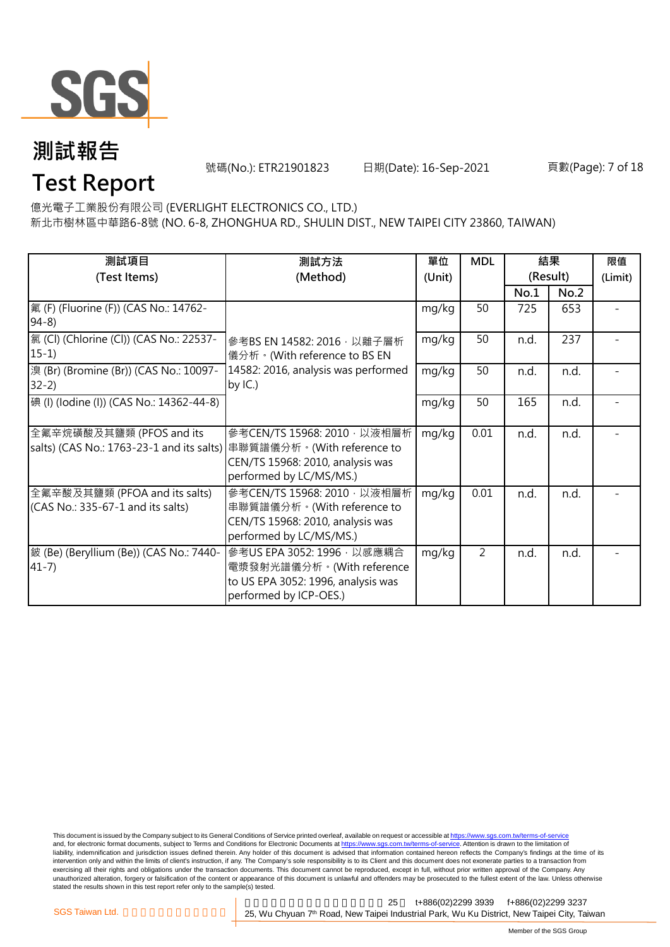

號碼(No.): ETR21901823 日期(Date): 16-Sep-2021 頁數(Page): 7 of 18

# **Test Report**

億光電子工業股份有限公司 (EVERLIGHT ELECTRONICS CO., LTD.) 新北市樹林區中華路6-8號 (NO. 6-8, ZHONGHUA RD., SHULIN DIST., NEW TAIPEI CITY 23860, TAIWAN)

| 測試項目<br>(Test Items)                                                  | 測試方法<br>(Method)                                                                                                         | 單位<br>(Unit) | <b>MDL</b>     | 結果<br>(Result) |      | 限值<br>(Limit) |
|-----------------------------------------------------------------------|--------------------------------------------------------------------------------------------------------------------------|--------------|----------------|----------------|------|---------------|
|                                                                       |                                                                                                                          |              |                | No.1           | No.2 |               |
| 氟 (F) (Fluorine (F)) (CAS No.: 14762-<br>$94-8)$                      |                                                                                                                          | mg/kg        | 50             | 725            | 653  |               |
| 氯 (Cl) (Chlorine (Cl)) (CAS No.: 22537-<br>$15-1)$                    | 參考BS EN 14582: 2016, 以離子層析<br>儀分析。(With reference to BS EN                                                               | mg/kg        | 50             | n.d.           | 237  |               |
| 溴 (Br) (Bromine (Br)) (CAS No.: 10097-<br>$32-2)$                     | 14582: 2016, analysis was performed<br>by $IC.$ )                                                                        | mg/kg        | 50             | n.d.           | n.d. |               |
| [碘 (I) (Iodine (I)) (CAS No.: 14362-44-8)                             |                                                                                                                          | mg/kg        | 50             | 165            | n.d. |               |
| 全氟辛烷磺酸及其鹽類 (PFOS and its<br>salts) (CAS No.: 1763-23-1 and its salts) | 參考CEN/TS 15968: 2010, 以液相層析<br>串聯質譜儀分析。(With reference to<br>CEN/TS 15968: 2010, analysis was<br>performed by LC/MS/MS.) | mg/kg        | 0.01           | n.d.           | n.d. |               |
| 全氟辛酸及其鹽類 (PFOA and its salts)<br>(CAS No.: 335-67-1 and its salts)    | 參考CEN/TS 15968: 2010, 以液相層析<br>串聯質譜儀分析。(With reference to<br>CEN/TS 15968: 2010, analysis was<br>performed by LC/MS/MS.) | mg/kg        | 0.01           | n.d.           | n.d. |               |
| 皴 (Be) (Beryllium (Be)) (CAS No.: 7440-<br>$41 - 7$ )                 | 參考US EPA 3052: 1996, 以感應耦合<br>電漿發射光譜儀分析。(With reference<br>to US EPA 3052: 1996, analysis was<br>performed by ICP-OES.)  | mg/kg        | $\overline{2}$ | n.d.           | n.d. |               |

This document is issued by the Company subject to its General Conditions of Service printed overleaf, available on request or accessible at <u>https://www.sgs.com.tw/terms-of-service</u><br>and, for electronic format documents, su liability, indemnification and jurisdiction issues defined therein. Any holder of this document is advised that information contained hereon reflects the Company's findings at the time of its liability, indemnification and intervention only and within the limits of client's instruction, if any. The Company's sole responsibility is to its Client and this document does not exonerate parties to a transaction from exercising all their rights and obligations under the transaction documents. This document cannot be reproduced, except in full, without prior written approval of the Company. Any<br>unauthorized alteration, forgery or falsif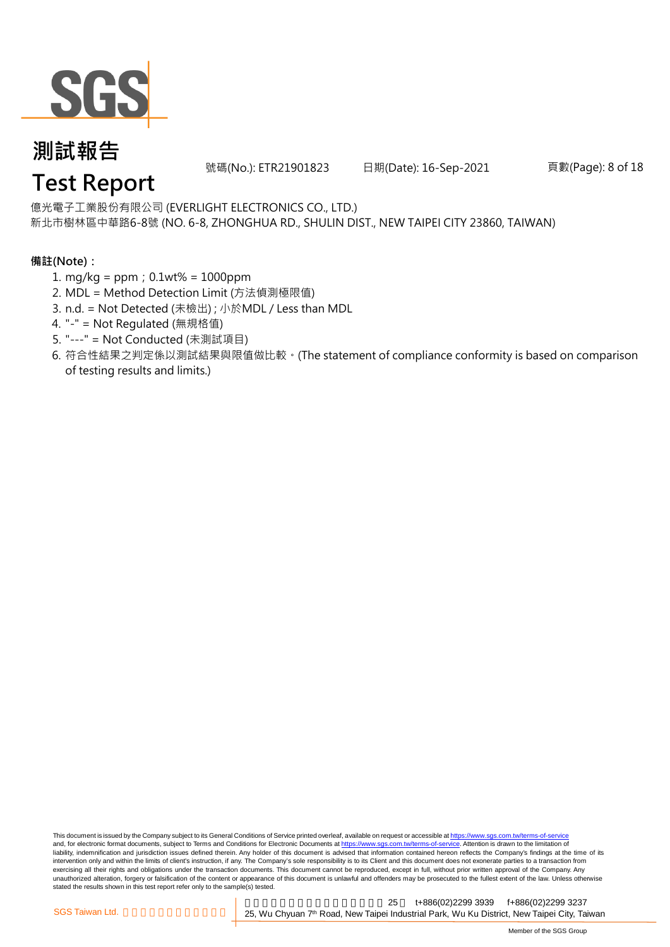

號碼(No.): ETR21901823 日期(Date): 16-Sep-2021 頁數(Page): 8 of 18

# **Test Report**

億光電子工業股份有限公司 (EVERLIGHT ELECTRONICS CO., LTD.) 新北市樹林區中華路6-8號 (NO. 6-8, ZHONGHUA RD., SHULIN DIST., NEW TAIPEI CITY 23860, TAIWAN)

### **備註(Note):**

- 1. mg/kg = ppm;0.1wt% = 1000ppm
- 2. MDL = Method Detection Limit (方法偵測極限值)
- 3. n.d. = Not Detected (未檢出) ; 小於MDL / Less than MDL
- 4. "-" = Not Regulated (無規格值)
- 5. "---" = Not Conducted (未測試項目)
- 6. 符合性結果之判定係以測試結果與限值做比較。(The statement of compliance conformity is based on comparison of testing results and limits.)

This document is issued by the Company subject to its General Conditions of Service printed overleaf, available on request or accessible at https://www.sgs.com.tw/terms-of-service and, for electronic format documents, subject to Terms and Conditions for Electronic Documents at https://www.sgs.com.tw/terms-of-service. Attention is drawn to the limitation of liability, indemnification and jurisdiction issues defined therein. Any holder of this document is advised that information contained hereon reflects the Company's findings at the time of its intervention only and within the limits of client's instruction, if any. The Company's sole responsibility is to its Client and this document does not exonerate parties to a transaction from exercising all their rights and obligations under the transaction documents. This document cannot be reproduced, except in full, without prior written approval of the Company. Any<br>unauthorized alteration, forgery or falsif stated the results shown in this test report refer only to the sample(s) tested.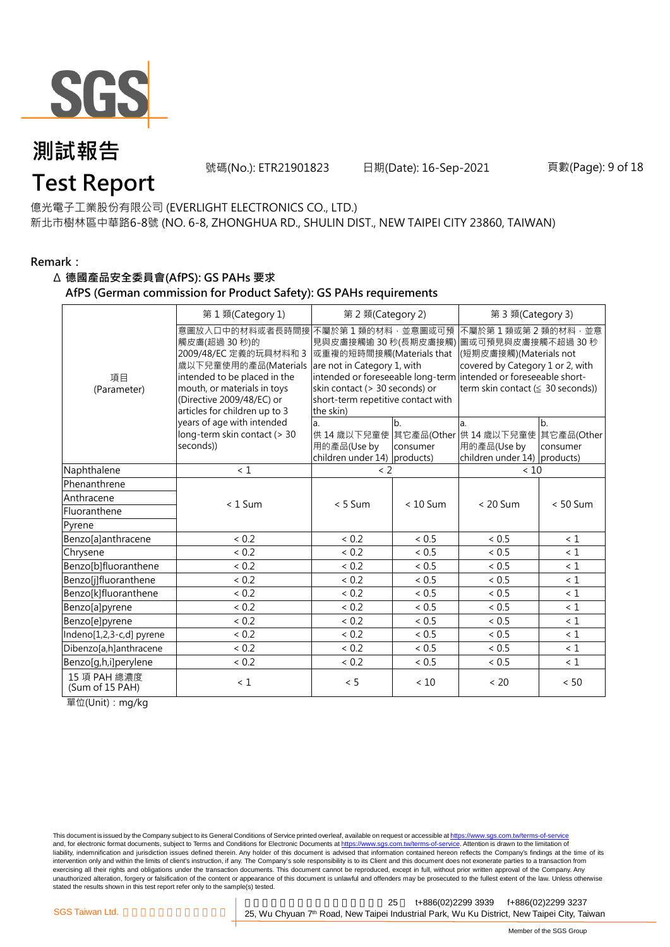

號碼(No.): ETR21901823 日期(Date): 16-Sep-2021 頁數(Page): 9 of 18

# **Test Report**

億光電子工業股份有限公司 (EVERLIGHT ELECTRONICS CO., LTD.) 新北市樹林區中華路6-8號 (NO. 6-8, ZHONGHUA RD., SHULIN DIST., NEW TAIPEI CITY 23860, TAIWAN)

#### **Remark:**

#### Δ **德國產品安全委員會(AfPS): GS PAHs 要求**

**AfPS (German commission for Product Safety): GS PAHs requirements**

|                                 | 第1類(Category 1)                                                                                                                                                                                                                  | 第 2 類(Category 2)                                                                                                                            |                | 第 3 類(Category 3)                                                                                                                                                                                                                        |                              |  |
|---------------------------------|----------------------------------------------------------------------------------------------------------------------------------------------------------------------------------------------------------------------------------|----------------------------------------------------------------------------------------------------------------------------------------------|----------------|------------------------------------------------------------------------------------------------------------------------------------------------------------------------------------------------------------------------------------------|------------------------------|--|
| 項目<br>(Parameter)               | 意圖放入口中的材料或者長時間接 不屬於第 1 類的材料,並意圖或可預<br>觸皮膚(超過 30秒)的<br>2009/48/EC 定義的玩具材料和 3<br>歲以下兒童使用的產品(Materials<br>intended to be placed in the<br>mouth, or materials in toys<br>(Directive 2009/48/EC) or<br>articles for children up to 3 | 或重複的短時間接觸(Materials that<br>are not in Category 1, with<br>skin contact (> 30 seconds) or<br>short-term repetitive contact with<br>the skin) |                | 不屬於第1類或第2類的材料,並意<br>見與皮膚接觸逾 30 秒(長期皮膚接觸) 圖或可預見與皮膚接觸不超過 30 秒<br>(短期皮膚接觸)(Materials not<br>covered by Category 1 or 2, with<br>intended or foreseeable long-term intended or foreseeable short-<br>term skin contact ( $\leq$ 30 seconds)) |                              |  |
|                                 | years of age with intended<br>long-term skin contact (> 30<br>seconds))                                                                                                                                                          | a.<br>用的產品(Use by<br>children under 14) products)                                                                                            | b.<br>consumer | a.<br>供 14 歳以下兒童使 其它產品(Other 供 14 歳以下兒童使<br>用的產品(Use by<br>children under 14) products)                                                                                                                                                  | b.<br>其它產品(Other<br>consumer |  |
| Naphthalene                     | $\leq 1$                                                                                                                                                                                                                         | < 2                                                                                                                                          |                | < 10                                                                                                                                                                                                                                     |                              |  |
| Phenanthrene                    |                                                                                                                                                                                                                                  |                                                                                                                                              |                |                                                                                                                                                                                                                                          |                              |  |
| Anthracene                      | $< 1$ Sum                                                                                                                                                                                                                        | $< 5$ Sum                                                                                                                                    | $< 10$ Sum     | $< 20$ Sum                                                                                                                                                                                                                               | $< 50$ Sum                   |  |
| Fluoranthene                    |                                                                                                                                                                                                                                  |                                                                                                                                              |                |                                                                                                                                                                                                                                          |                              |  |
| Pyrene                          |                                                                                                                                                                                                                                  |                                                                                                                                              |                |                                                                                                                                                                                                                                          |                              |  |
| Benzo[a]anthracene              | ${}< 0.2$                                                                                                                                                                                                                        | ${}< 0.2$                                                                                                                                    | < 0.5          | < 0.5                                                                                                                                                                                                                                    | < 1                          |  |
| Chrysene                        | < 0.2                                                                                                                                                                                                                            | < 0.2                                                                                                                                        | ${}< 0.5$      | < 0.5                                                                                                                                                                                                                                    | < 1                          |  |
| Benzo[b]fluoranthene            | < 0.2                                                                                                                                                                                                                            | < 0.2                                                                                                                                        | < 0.5          | < 0.5                                                                                                                                                                                                                                    | $\leq 1$                     |  |
| Benzo[j]fluoranthene            | < 0.2                                                                                                                                                                                                                            | < 0.2                                                                                                                                        | < 0.5          | < 0.5                                                                                                                                                                                                                                    | $\leq 1$                     |  |
| Benzo[k]fluoranthene            | < 0.2                                                                                                                                                                                                                            | < 0.2                                                                                                                                        | ${}< 0.5$      | < 0.5                                                                                                                                                                                                                                    | $\leq 1$                     |  |
| Benzo[a]pyrene                  | < 0.2                                                                                                                                                                                                                            | ${}< 0.2$                                                                                                                                    | < 0.5          | < 0.5                                                                                                                                                                                                                                    | $\leq 1$                     |  |
| Benzo[e]pyrene                  | < 0.2                                                                                                                                                                                                                            | < 0.2                                                                                                                                        | ${}< 0.5$      | < 0.5                                                                                                                                                                                                                                    | < 1                          |  |
| Indeno[1,2,3-c,d] pyrene        | < 0.2                                                                                                                                                                                                                            | < 0.2                                                                                                                                        | < 0.5          | < 0.5                                                                                                                                                                                                                                    | $\leq 1$                     |  |
| Dibenzo[a,h]anthracene          | < 0.2                                                                                                                                                                                                                            | < 0.2                                                                                                                                        | < 0.5          | < 0.5                                                                                                                                                                                                                                    | < 1                          |  |
| Benzo[g,h,i]perylene            | ${}< 0.2$                                                                                                                                                                                                                        | ${}< 0.2$                                                                                                                                    | < 0.5          | < 0.5                                                                                                                                                                                                                                    | $\leq 1$                     |  |
| 15 項 PAH 總濃度<br>(Sum of 15 PAH) | $\leq 1$                                                                                                                                                                                                                         | < 5                                                                                                                                          | $<10$          | < 20                                                                                                                                                                                                                                     | < 50                         |  |

單位(Unit): mg/kg

This document is issued by the Company subject to its General Conditions of Service printed overleaf, available on request or accessible at https://www.sgs.com.tw/terms-of-service and, for electronic format documents, subject to Terms and Conditions for Electronic Documents at https://www.sgs.com.tw/terms-of-service. Attention is drawn to the limitation of liability, indemnification and jurisdiction issues defined therein. Any holder of this document is advised that information contained hereon reflects the Company's findings at the time of its intervention only and within the limits of client's instruction, if any. The Company's sole responsibility is to its Client and this document does not exonerate parties to a transaction from exercising all their rights and obligations under the transaction documents. This document cannot be reproduced, except in full, without prior written approval of the Company. Any<br>unauthorized alteration, forgery or falsif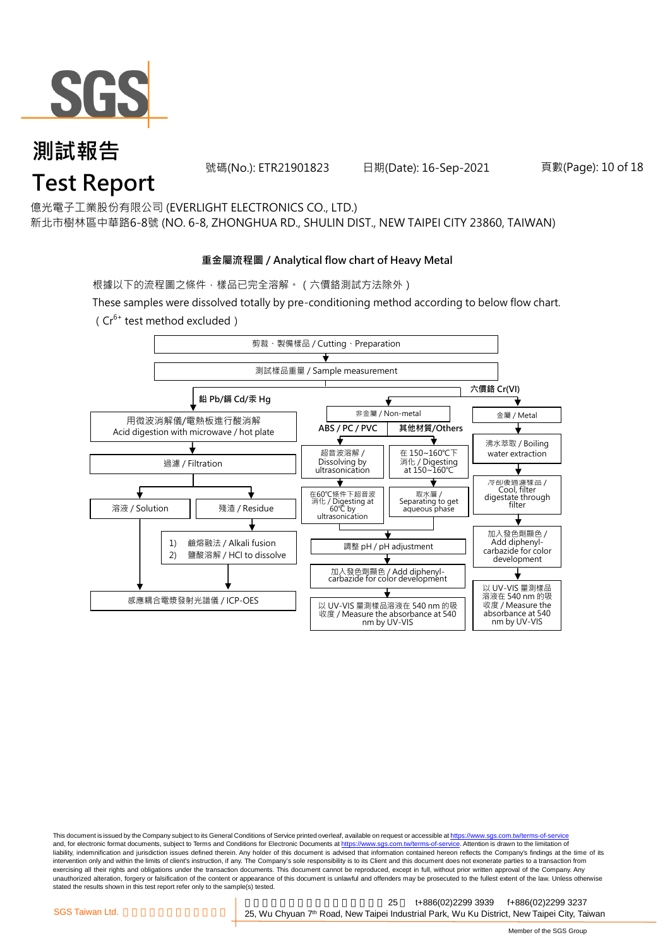

號碼(No.): ETR21901823 日期(Date): 16-Sep-2021 頁數(Page): 10 of 18

# **Test Report**

億光電子工業股份有限公司 (EVERLIGHT ELECTRONICS CO., LTD.) 新北市樹林區中華路6-8號 (NO. 6-8, ZHONGHUA RD., SHULIN DIST., NEW TAIPEI CITY 23860, TAIWAN)

#### **重金屬流程圖 / Analytical flow chart of Heavy Metal**

根據以下的流程圖之條件,樣品已完全溶解。(六價鉻測試方法除外)

These samples were dissolved totally by pre-conditioning method according to below flow chart.



This document is issued by the Company subject to its General Conditions of Service printed overleaf, available on request or accessible at https://www.sgs.com.tw/terms-of-service and, for electronic format documents, subject to Terms and Conditions for Electronic Documents at https://www.sgs.com.tw/terms-of-service. Attention is drawn to the limitation of liability, indemnification and jurisdiction issues defined therein. Any holder of this document is advised that information contained hereon reflects the Company's findings at the time of its intervention only and within the limits of client's instruction, if any. The Company's sole responsibility is to its Client and this document does not exonerate parties to a transaction from exercising all their rights and obligations under the transaction documents. This document cannot be reproduced, except in full, without prior written approval of the Company. Any<br>unauthorized alteration, forgery or falsif stated the results shown in this test report refer only to the sample(s) tested.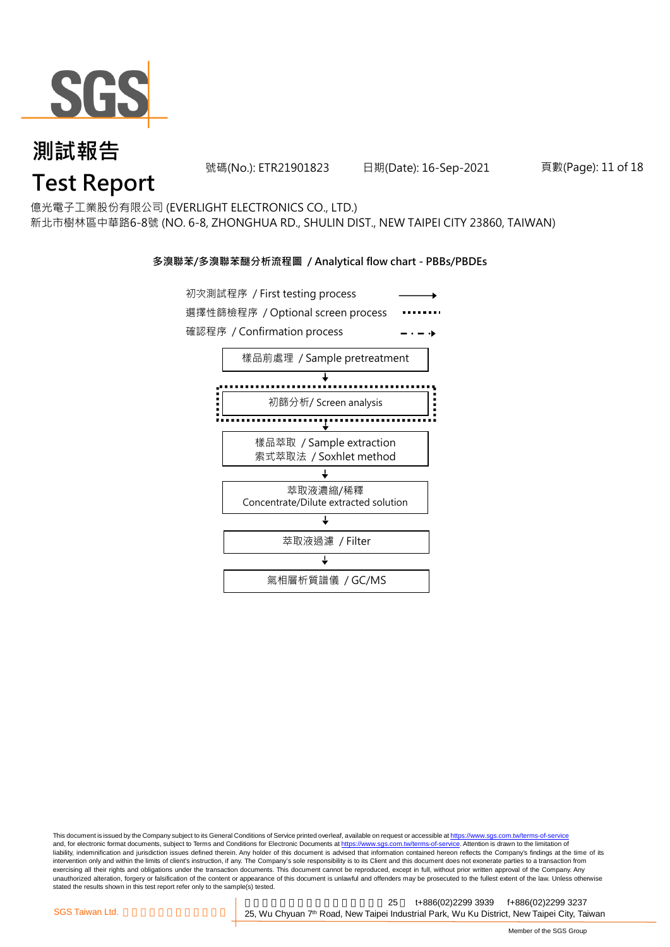

#### 號碼(No.): ETR21901823 日期(Date): 16-Sep-2021 頁數(Page): 11 of 18

# **Test Report**

億光電子工業股份有限公司 (EVERLIGHT ELECTRONICS CO., LTD.) 新北市樹林區中華路6-8號 (NO. 6-8, ZHONGHUA RD., SHULIN DIST., NEW TAIPEI CITY 23860, TAIWAN)

#### **多溴聯苯/多溴聯苯醚分析流程圖 / Analytical flow chart - PBBs/PBDEs**



This document is issued by the Company subject to its General Conditions of Service printed overleaf, available on request or accessible at https://www.sgs.com.tw/terms-of-service and, for electronic format documents, subject to Terms and Conditions for Electronic Documents at https://www.sgs.com.tw/terms-of-service. Attention is drawn to the limitation of liability, indemnification and jurisdiction issues defined therein. Any holder of this document is advised that information contained hereon reflects the Company's findings at the time of its intervention only and within the limits of client's instruction, if any. The Company's sole responsibility is to its Client and this document does not exonerate parties to a transaction from exercising all their rights and obligations under the transaction documents. This document cannot be reproduced, except in full, without prior written approval of the Company. Any<br>unauthorized alteration, forgery or falsif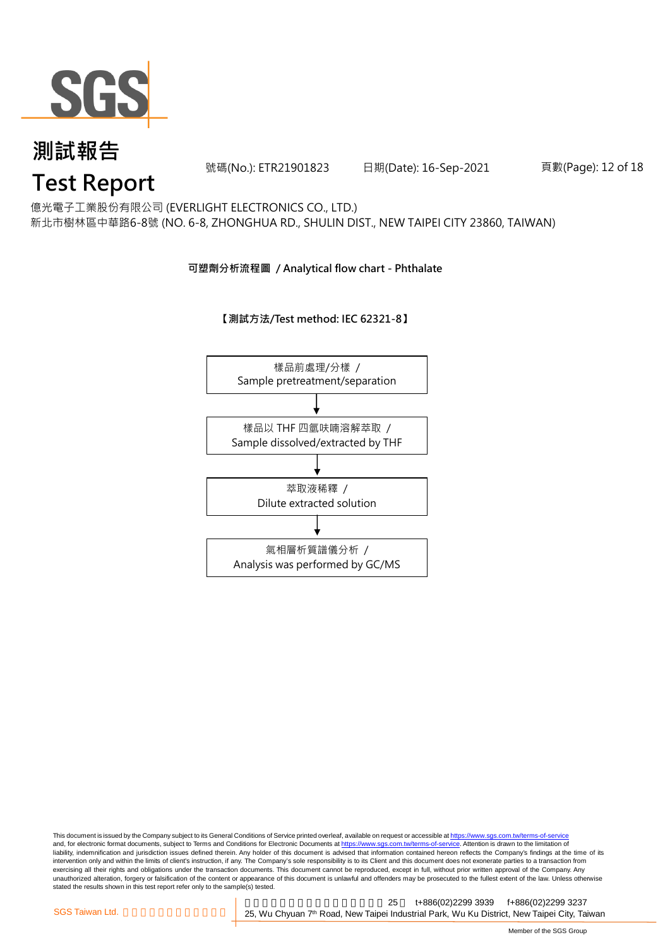

號碼(No.): ETR21901823 日期(Date): 16-Sep-2021 頁數(Page): 12 of 18

# **Test Report**

億光電子工業股份有限公司 (EVERLIGHT ELECTRONICS CO., LTD.) 新北市樹林區中華路6-8號 (NO. 6-8, ZHONGHUA RD., SHULIN DIST., NEW TAIPEI CITY 23860, TAIWAN)

### **可塑劑分析流程圖 / Analytical flow chart - Phthalate**

**【測試方法/Test method: IEC 62321-8】**



This document is issued by the Company subject to its General Conditions of Service printed overleaf, available on request or accessible at <u>https://www.sgs.com.tw/terms-of-service</u><br>and, for electronic format documents, su liability, indemnification and jurisdiction issues defined therein. Any holder of this document is advised that information contained hereon reflects the Company's findings at the time of its intervention only and within the limits of client's instruction, if any. The Company's sole responsibility is to its Client and this document does not exonerate parties to a transaction from exercising all their rights and obligations under the transaction documents. This document cannot be reproduced, except in full, without prior written approval of the Company. Any<br>unauthorized alteration, forgery or falsif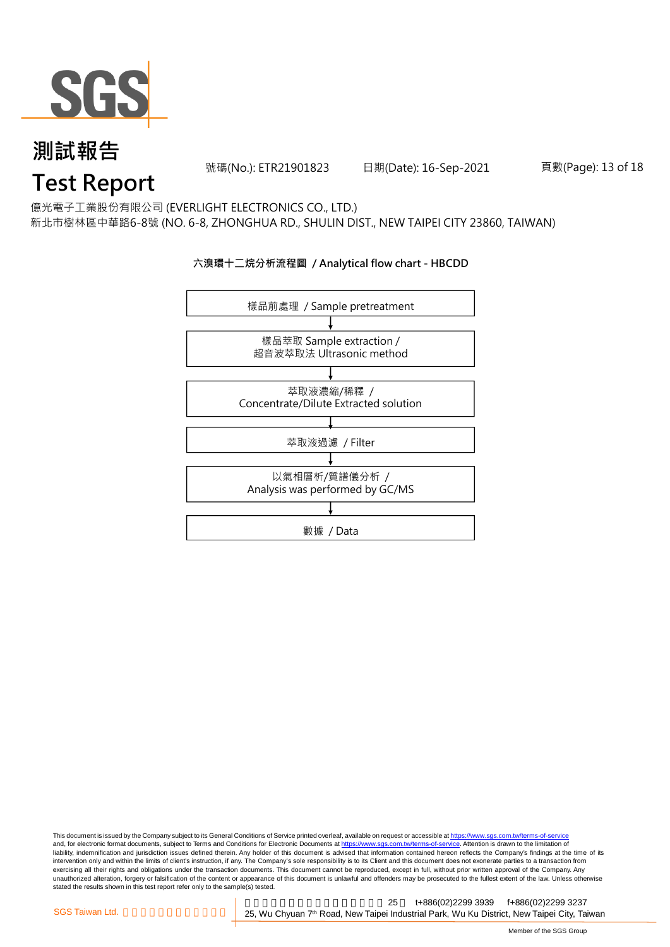

號碼(No.): ETR21901823 日期(Date): 16-Sep-2021 頁數(Page): 13 of 18

# **Test Report**

億光電子工業股份有限公司 (EVERLIGHT ELECTRONICS CO., LTD.) 新北市樹林區中華路6-8號 (NO. 6-8, ZHONGHUA RD., SHULIN DIST., NEW TAIPEI CITY 23860, TAIWAN)

### **六溴環十二烷分析流程圖 / Analytical flow chart - HBCDD**



This document is issued by the Company subject to its General Conditions of Service printed overleaf, available on request or accessible at <u>https://www.sgs.com.tw/terms-of-service</u><br>and, for electronic format documents, su liability, indemnification and jurisdiction issues defined therein. Any holder of this document is advised that information contained hereon reflects the Company's findings at the time of its intervention only and within the limits of client's instruction, if any. The Company's sole responsibility is to its Client and this document does not exonerate parties to a transaction from exercising all their rights and obligations under the transaction documents. This document cannot be reproduced, except in full, without prior written approval of the Company. Any<br>unauthorized alteration, forgery or falsif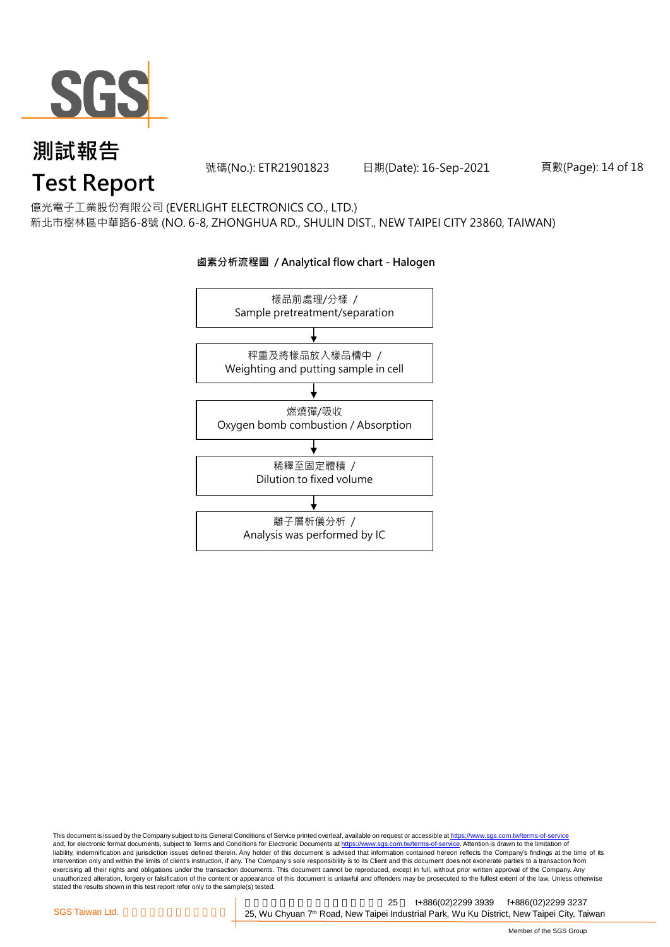

號碼(No.): ETR21901823 日期(Date): 16-Sep-2021 頁數(Page): 14 of 18

# **Test Report**

億光電子工業股份有限公司 (EVERLIGHT ELECTRONICS CO., LTD.) 新北市樹林區中華路6-8號 (NO. 6-8, ZHONGHUA RD., SHULIN DIST., NEW TAIPEI CITY 23860, TAIWAN)



#### **鹵素分析流程圖 / Analytical flow chart - Halogen**

This document is issued by the Company subject to its General Conditions of Service printed overleaf, available on request or accessible at <u>https://www.sgs.com.tw/terms-of-service</u><br>and, for electronic format documents, su liability, indemnification and jurisdiction issues defined therein. Any holder of this document is advised that information contained hereon reflects the Company's findings at the time of its intervention only and within the limits of client's instruction, if any. The Company's sole responsibility is to its Client and this document does not exonerate parties to a transaction from exercising all their rights and obligations under the transaction documents. This document cannot be reproduced, except in full, without prior written approval of the Company. Any<br>unauthorized alteration, forgery or falsif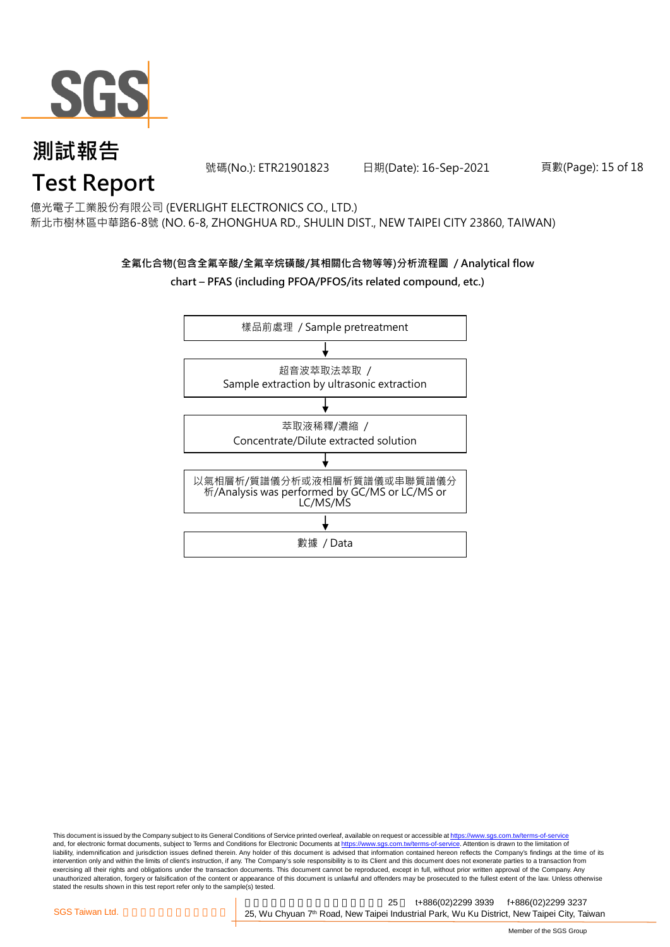

號碼(No.): ETR21901823 日期(Date): 16-Sep-2021 頁數(Page): 15 of 18

# **Test Report**

億光電子工業股份有限公司 (EVERLIGHT ELECTRONICS CO., LTD.) 新北市樹林區中華路6-8號 (NO. 6-8, ZHONGHUA RD., SHULIN DIST., NEW TAIPEI CITY 23860, TAIWAN)

#### **全氟化合物(包含全氟辛酸/全氟辛烷磺酸/其相關化合物等等)分析流程圖 / Analytical flow chart – PFAS (including PFOA/PFOS/its related compound, etc.)**



This document is issued by the Company subject to its General Conditions of Service printed overleaf, available on request or accessible at https://www.sgs.com.tw/terms-of-service and, for electronic format documents, subject to Terms and Conditions for Electronic Documents at https://www.sgs.com.tw/terms-of-service. Attention is drawn to the limitation of liability, indemnification and jurisdiction issues defined therein. Any holder of this document is advised that information contained hereon reflects the Company's findings at the time of its intervention only and within the limits of client's instruction, if any. The Company's sole responsibility is to its Client and this document does not exonerate parties to a transaction from exercising all their rights and obligations under the transaction documents. This document cannot be reproduced, except in full, without prior written approval of the Company. Any<br>unauthorized alteration, forgery or falsif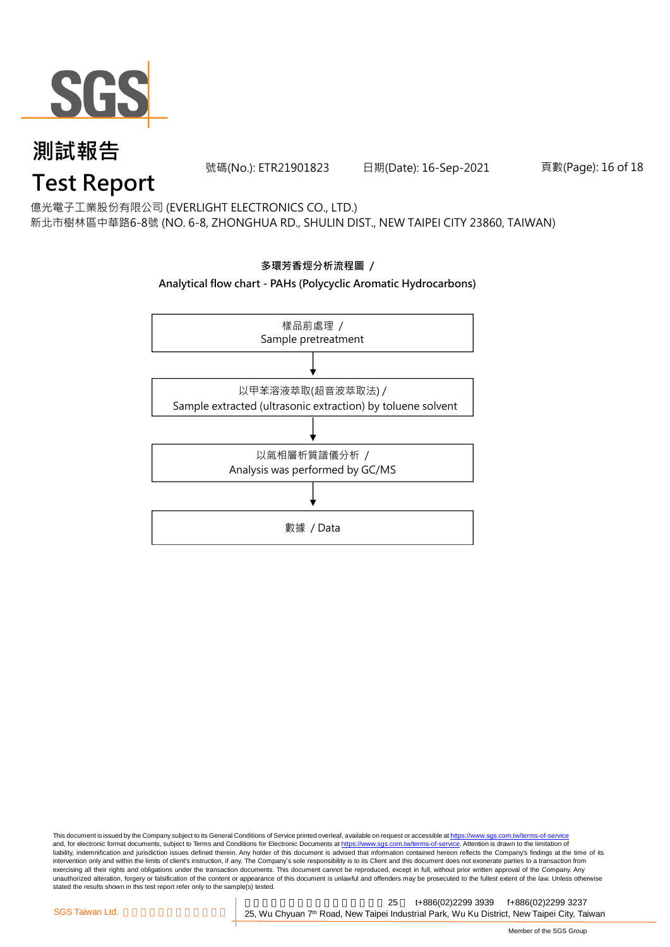

號碼(No.): ETR21901823 日期(Date): 16-Sep-2021 頁數(Page): 16 of 18

# **Test Report**

億光電子工業股份有限公司 (EVERLIGHT ELECTRONICS CO., LTD.) 新北市樹林區中華路6-8號 (NO. 6-8, ZHONGHUA RD., SHULIN DIST., NEW TAIPEI CITY 23860, TAIWAN)



This document is issued by the Company subject to its General Conditions of Service printed overleaf, available on request or accessible at <u>https://www.sgs.com.tw/terms-of-service</u><br>and, for electronic format documents, su liability, indemnification and jurisdiction issues defined therein. Any holder of this document is advised that information contained hereon reflects the Company's findings at the time of its intervention only and within the limits of client's instruction, if any. The Company's sole responsibility is to its Client and this document does not exonerate parties to a transaction from exercising all their rights and obligations under the transaction documents. This document cannot be reproduced, except in full, without prior written approval of the Company. Any<br>unauthorized alteration, forgery or falsif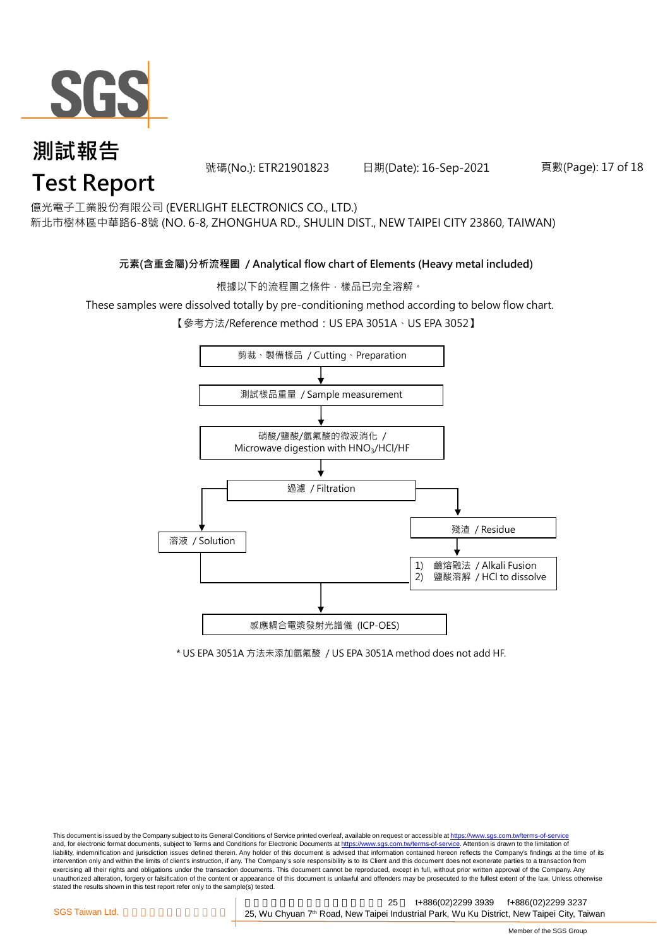

號碼(No.): ETR21901823 日期(Date): 16-Sep-2021 頁數(Page): 17 of 18

# **Test Report**

億光電子工業股份有限公司 (EVERLIGHT ELECTRONICS CO., LTD.) 新北市樹林區中華路6-8號 (NO. 6-8, ZHONGHUA RD., SHULIN DIST., NEW TAIPEI CITY 23860, TAIWAN)

### **元素(含重金屬)分析流程圖 / Analytical flow chart of Elements (Heavy metal included)**

根據以下的流程圖之條件,樣品已完全溶解。

These samples were dissolved totally by pre-conditioning method according to below flow chart.

【參考方法/Reference method:US EPA 3051A、US EPA 3052】



\* US EPA 3051A 方法未添加氫氟酸 / US EPA 3051A method does not add HF.

This document is issued by the Company subject to its General Conditions of Service printed overleaf, available on request or accessible at https://www.sgs.com.tw/terms-of-service and, for electronic format documents, subject to Terms and Conditions for Electronic Documents at https://www.sgs.com.tw/terms-of-service. Attention is drawn to the limitation of liability, indemnification and jurisdiction issues defined therein. Any holder of this document is advised that information contained hereon reflects the Company's findings at the time of its intervention only and within the limits of client's instruction, if any. The Company's sole responsibility is to its Client and this document does not exonerate parties to a transaction from exercising all their rights and obligations under the transaction documents. This document cannot be reproduced, except in full, without prior written approval of the Company. Any<br>unauthorized alteration, forgery or falsif stated the results shown in this test report refer only to the sample(s) tested.